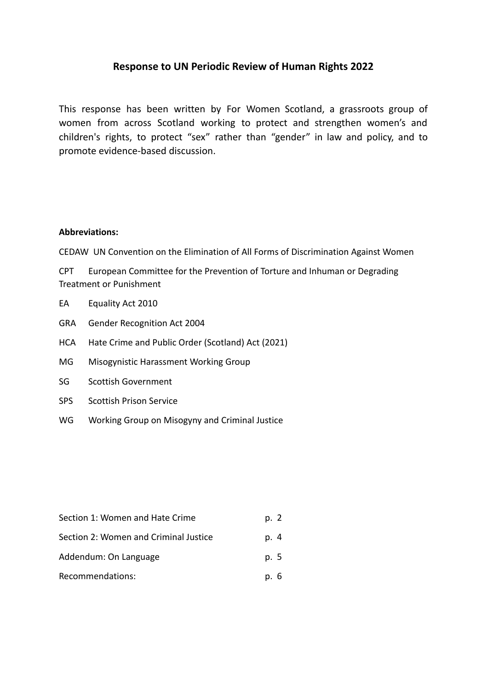# **Response to UN Periodic Review of Human Rights 2022**

This response has been written by For Women Scotland, a grassroots group of women from across Scotland working to protect and strengthen women's and children's rights, to protect "sex" rather than "gender" in law and policy, and to promote evidence-based discussion.

### **Abbreviations:**

CEDAW UN Convention on the Elimination of All Forms of Discrimination Against Women

CPT European Committee for the Prevention of Torture and Inhuman or Degrading Treatment or Punishment

- EA Equality Act 2010
- GRA Gender Recognition Act 2004
- HCA Hate Crime and Public Order (Scotland) Act (2021)
- MG Misogynistic Harassment Working Group
- SG Scottish Government
- SPS Scottish Prison Service
- WG Working Group on Misogyny and Criminal Justice

| Section 1: Women and Hate Crime       | p. 2 |
|---------------------------------------|------|
| Section 2: Women and Criminal Justice | p. 4 |
| Addendum: On Language                 | p. 5 |
| Recommendations:                      | p. 6 |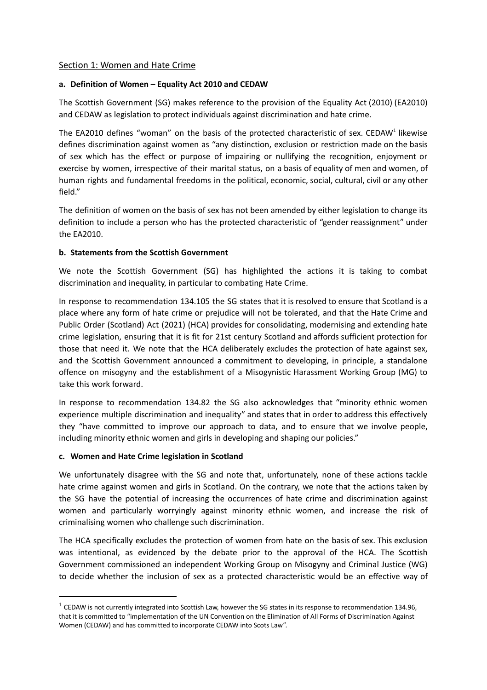#### Section 1: Women and Hate Crime

#### **a. Definition of Women – Equality Act 2010 and CEDAW**

The Scottish Government (SG) makes reference to the provision of the Equality Act (2010) (EA2010) and CEDAW as legislation to protect individuals against discrimination and hate crime.

The EA2010 defines "woman" on the basis of the protected characteristic of sex. CEDAW<sup>1</sup> likewise defines discrimination against women as "any distinction, exclusion or restriction made on the basis of sex which has the effect or purpose of impairing or nullifying the recognition, enjoyment or exercise by women, irrespective of their marital status, on a basis of equality of men and women, of human rights and fundamental freedoms in the political, economic, social, cultural, civil or any other field."

The definition of women on the basis of sex has not been amended by either legislation to change its definition to include a person who has the protected characteristic of "gender reassignment" under the EA2010.

#### **b. Statements from the Scottish Government**

We note the Scottish Government (SG) has highlighted the actions it is taking to combat discrimination and inequality, in particular to combating Hate Crime.

In response to recommendation 134.105 the SG states that it is resolved to ensure that Scotland is a place where any form of hate crime or prejudice will not be tolerated, and that the Hate Crime and Public Order (Scotland) Act (2021) (HCA) provides for consolidating, modernising and extending hate crime legislation, ensuring that it is fit for 21st century Scotland and affords sufficient protection for those that need it. We note that the HCA deliberately excludes the protection of hate against sex, and the Scottish Government announced a commitment to developing, in principle, a standalone offence on misogyny and the establishment of a Misogynistic Harassment Working Group (MG) to take this work forward.

In response to recommendation 134.82 the SG also acknowledges that "minority ethnic women experience multiple discrimination and inequality" and states that in order to address this effectively they "have committed to improve our approach to data, and to ensure that we involve people, including minority ethnic women and girls in developing and shaping our policies."

#### **c. Women and Hate Crime legislation in Scotland**

We unfortunately disagree with the SG and note that, unfortunately, none of these actions tackle hate crime against women and girls in Scotland. On the contrary, we note that the actions taken by the SG have the potential of increasing the occurrences of hate crime and discrimination against women and particularly worryingly against minority ethnic women, and increase the risk of criminalising women who challenge such discrimination.

The HCA specifically excludes the protection of women from hate on the basis of sex. This exclusion was intentional, as evidenced by the debate prior to the approval of the HCA. The Scottish Government commissioned an independent Working Group on Misogyny and Criminal Justice (WG) to decide whether the inclusion of sex as a protected characteristic would be an effective way of

 $1$  CEDAW is not currently integrated into Scottish Law, however the SG states in its response to recommendation 134.96, that it is committed to "implementation of the UN Convention on the Elimination of All Forms of Discrimination Against Women (CEDAW) and has committed to incorporate CEDAW into Scots Law".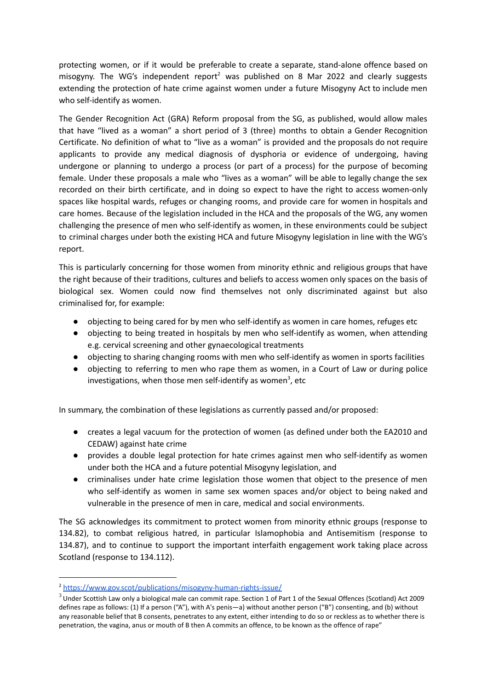protecting women, or if it would be preferable to create a separate, stand-alone offence based on misogyny. The WG's independent report<sup>2</sup> was published on 8 Mar 2022 and clearly suggests extending the protection of hate crime against women under a future Misogyny Act to include men who self-identify as women.

The Gender Recognition Act (GRA) Reform proposal from the SG, as published, would allow males that have "lived as a woman" a short period of 3 (three) months to obtain a Gender Recognition Certificate. No definition of what to "live as a woman" is provided and the proposals do not require applicants to provide any medical diagnosis of dysphoria or evidence of undergoing, having undergone or planning to undergo a process (or part of a process) for the purpose of becoming female. Under these proposals a male who "lives as a woman" will be able to legally change the sex recorded on their birth certificate, and in doing so expect to have the right to access women-only spaces like hospital wards, refuges or changing rooms, and provide care for women in hospitals and care homes. Because of the legislation included in the HCA and the proposals of the WG, any women challenging the presence of men who self-identify as women, in these environments could be subject to criminal charges under both the existing HCA and future Misogyny legislation in line with the WG's report.

This is particularly concerning for those women from minority ethnic and religious groups that have the right because of their traditions, cultures and beliefs to access women only spaces on the basis of biological sex. Women could now find themselves not only discriminated against but also criminalised for, for example:

- objecting to being cared for by men who self-identify as women in care homes, refuges etc
- objecting to being treated in hospitals by men who self-identify as women, when attending e.g. cervical screening and other gynaecological treatments
- objecting to sharing changing rooms with men who self-identify as women in sports facilities
- objecting to referring to men who rape them as women, in a Court of Law or during police investigations, when those men self-identify as women<sup>3</sup>, etc

In summary, the combination of these legislations as currently passed and/or proposed:

- creates a legal vacuum for the protection of women (as defined under both the EA2010 and CEDAW) against hate crime
- provides a double legal protection for hate crimes against men who self-identify as women under both the HCA and a future potential Misogyny legislation, and
- criminalises under hate crime legislation those women that object to the presence of men who self-identify as women in same sex women spaces and/or object to being naked and vulnerable in the presence of men in care, medical and social environments.

The SG acknowledges its commitment to protect women from minority ethnic groups (response to 134.82), to combat religious hatred, in particular Islamophobia and Antisemitism (response to 134.87), and to continue to support the important interfaith engagement work taking place across Scotland (response to 134.112).

<sup>2</sup> <https://www.gov.scot/publications/misogyny-human-rights-issue/>

 $3$  Under Scottish Law only a biological male can commit rape. Section 1 of Part 1 of the Sexual Offences (Scotland) Act 2009 defines rape as follows: (1) If a person ("A"), with A's penis—a) without another person ("B") consenting, and (b) without any reasonable belief that B consents, penetrates to any extent, either intending to do so or reckless as to whether there is penetration, the vagina, anus or mouth of B then A commits an offence, to be known as the offence of rape"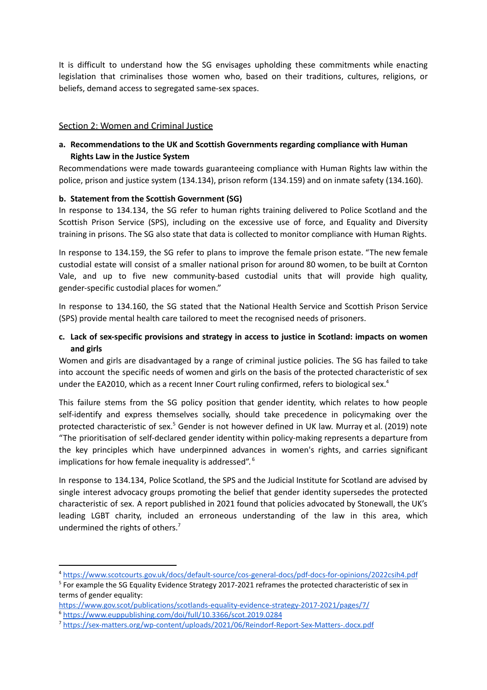It is difficult to understand how the SG envisages upholding these commitments while enacting legislation that criminalises those women who, based on their traditions, cultures, religions, or beliefs, demand access to segregated same-sex spaces.

#### Section 2: Women and Criminal Justice

### **a. Recommendations to the UK and Scottish Governments regarding compliance with Human Rights Law in the Justice System**

Recommendations were made towards guaranteeing compliance with Human Rights law within the police, prison and justice system (134.134), prison reform (134.159) and on inmate safety (134.160).

#### **b. Statement from the Scottish Government (SG)**

In response to 134.134, the SG refer to human rights training delivered to Police Scotland and the Scottish Prison Service (SPS), including on the excessive use of force, and Equality and Diversity training in prisons. The SG also state that data is collected to monitor compliance with Human Rights.

In response to 134.159, the SG refer to plans to improve the female prison estate. "The new female custodial estate will consist of a smaller national prison for around 80 women, to be built at Cornton Vale, and up to five new community-based custodial units that will provide high quality, gender-specific custodial places for women."

In response to 134.160, the SG stated that the National Health Service and Scottish Prison Service (SPS) provide mental health care tailored to meet the recognised needs of prisoners.

### **c. Lack of sex-specific provisions and strategy in access to justice in Scotland: impacts on women and girls**

Women and girls are disadvantaged by a range of criminal justice policies. The SG has failed to take into account the specific needs of women and girls on the basis of the protected characteristic of sex under the EA2010, which as a recent Inner Court ruling confirmed, refers to biological sex.<sup>4</sup>

This failure stems from the SG policy position that gender identity, which relates to how people self-identify and express themselves socially, should take precedence in policymaking over the protected characteristic of sex. <sup>5</sup> Gender is not however defined in UK law. Murray et al. (2019) note "The prioritisation of self-declared gender identity within policy-making represents a departure from the key principles which have underpinned advances in women's rights, and carries significant implications for how female inequality is addressed". 6

In response to 134.134, Police Scotland, the SPS and the Judicial Institute for Scotland are advised by single interest advocacy groups promoting the belief that gender identity supersedes the protected characteristic of sex. A report published in 2021 found that policies advocated by Stonewall, the UK's leading LGBT charity, included an erroneous understanding of the law in this area, which undermined the rights of others. 7

<sup>4</sup> <https://www.scotcourts.gov.uk/docs/default-source/cos-general-docs/pdf-docs-for-opinions/2022csih4.pdf>

<sup>&</sup>lt;sup>5</sup> For example the SG Equality Evidence Strategy 2017-2021 reframes the protected characteristic of sex in terms of gender equality:

<sup>6</sup> <https://www.euppublishing.com/doi/full/10.3366/scot.2019.0284> <https://www.gov.scot/publications/scotlands-equality-evidence-strategy-2017-2021/pages/7/>

<sup>7</sup> <https://sex-matters.org/wp-content/uploads/2021/06/Reindorf-Report-Sex-Matters-.docx.pdf>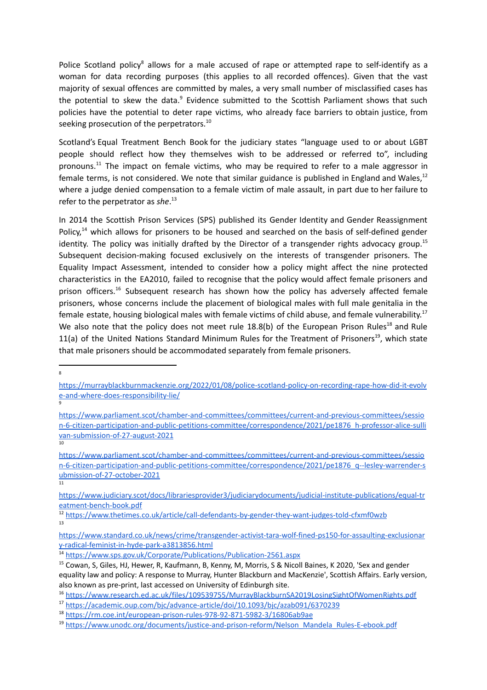Police Scotland policy<sup>8</sup> allows for a male accused of rape or attempted rape to self-identify as a woman for data recording purposes (this applies to all recorded offences). Given that the vast majority of sexual offences are committed by males, a very small number of misclassified cases has the potential to skew the data.<sup>9</sup> Evidence submitted to the Scottish Parliament shows that such policies have the potential to deter rape victims, who already face barriers to obtain justice, from seeking prosecution of the perpetrators.<sup>10</sup>

Scotland's Equal Treatment Bench Book for the judiciary states "language used to or about LGBT people should reflect how they themselves wish to be addressed or referred to", including pronouns.<sup>11</sup> The impact on female victims, who may be required to refer to a male aggressor in female terms, is not considered. We note that similar guidance is published in England and Wales,<sup>12</sup> where a judge denied compensation to a female victim of male assault, in part due to her failure to refer to the perpetrator as *she*. 13

In 2014 the Scottish Prison Services (SPS) published its Gender Identity and Gender Reassignment Policy,<sup>14</sup> which allows for prisoners to be housed and searched on the basis of self-defined gender identity. The policy was initially drafted by the Director of a transgender rights advocacy group.<sup>15</sup> Subsequent decision-making focused exclusively on the interests of transgender prisoners. The Equality Impact Assessment, intended to consider how a policy might affect the nine protected characteristics in the EA2010, failed to recognise that the policy would affect female prisoners and prison officers.<sup>16</sup> Subsequent research has shown how the policy has adversely affected female prisoners, whose concerns include the placement of biological males with full male genitalia in the female estate, housing biological males with female victims of child abuse, and female vulnerability.<sup>17</sup> We also note that the policy does not meet rule 18.8(b) of the European Prison Rules<sup>18</sup> and Rule 11(a) of the United Nations Standard Minimum Rules for the Treatment of Prisoners<sup>19</sup>, which state that male prisoners should be accommodated separately from female prisoners.

8

9

11 [https://www.parliament.scot/chamber-and-committees/committees/current-and-previous-committees/sessio](https://www.parliament.scot/chamber-and-committees/committees/current-and-previous-committees/session-6-citizen-participation-and-public-petitions-committee/correspondence/2021/pe1876_q--lesley-warrender-submission-of-27-october-2021) [n-6-citizen-participation-and-public-petitions-committee/correspondence/2021/pe1876\\_q--lesley-warrender-s](https://www.parliament.scot/chamber-and-committees/committees/current-and-previous-committees/session-6-citizen-participation-and-public-petitions-committee/correspondence/2021/pe1876_q--lesley-warrender-submission-of-27-october-2021) [ubmission-of-27-october-2021](https://www.parliament.scot/chamber-and-committees/committees/current-and-previous-committees/session-6-citizen-participation-and-public-petitions-committee/correspondence/2021/pe1876_q--lesley-warrender-submission-of-27-october-2021)

[https://murrayblackburnmackenzie.org/2022/01/08/police-scotland-policy-on-recording-rape-how-did-it-evolv](https://murrayblackburnmackenzie.org/2022/01/08/police-scotland-policy-on-recording-rape-how-did-it-evolve-and-where-does-responsibility-lie/) [e-and-where-does-responsibility-lie/](https://murrayblackburnmackenzie.org/2022/01/08/police-scotland-policy-on-recording-rape-how-did-it-evolve-and-where-does-responsibility-lie/)

[https://www.parliament.scot/chamber-and-committees/committees/current-and-previous-committees/sessio](https://www.parliament.scot/chamber-and-committees/committees/current-and-previous-committees/session-6-citizen-participation-and-public-petitions-committee/correspondence/2021/pe1876_h-professor-alice-sullivan-submission-of-27-august-2021) [n-6-citizen-participation-and-public-petitions-committee/correspondence/2021/pe1876\\_h-professor-alice-sulli](https://www.parliament.scot/chamber-and-committees/committees/current-and-previous-committees/session-6-citizen-participation-and-public-petitions-committee/correspondence/2021/pe1876_h-professor-alice-sullivan-submission-of-27-august-2021) [van-submission-of-27-august-2021](https://www.parliament.scot/chamber-and-committees/committees/current-and-previous-committees/session-6-citizen-participation-and-public-petitions-committee/correspondence/2021/pe1876_h-professor-alice-sullivan-submission-of-27-august-2021)

<sup>10</sup>

[https://www.judiciary.scot/docs/librariesprovider3/judiciarydocuments/judicial-institute-publications/equal-tr](https://www.judiciary.scot/docs/librariesprovider3/judiciarydocuments/judicial-institute-publications/equal-treatment-bench-book.pdf) [eatment-bench-book.pdf](https://www.judiciary.scot/docs/librariesprovider3/judiciarydocuments/judicial-institute-publications/equal-treatment-bench-book.pdf)

<sup>13</sup> <sup>12</sup> <https://www.thetimes.co.uk/article/call-defendants-by-gender-they-want-judges-told-cfxmf0wzb>

[https://www.standard.co.uk/news/crime/transgender-activist-tara-wolf-fined-ps150-for-assaulting-exclusionar](https://www.standard.co.uk/news/crime/transgender-activist-tara-wolf-fined-ps150-for-assaulting-exclusionary-radical-feminist-in-hyde-park-a3813856.html) [y-radical-feminist-in-hyde-park-a3813856.html](https://www.standard.co.uk/news/crime/transgender-activist-tara-wolf-fined-ps150-for-assaulting-exclusionary-radical-feminist-in-hyde-park-a3813856.html)

<sup>14</sup> <https://www.sps.gov.uk/Corporate/Publications/Publication-2561.aspx>

<sup>&</sup>lt;sup>15</sup> Cowan, S, Giles, HJ, Hewer, R, Kaufmann, B, Kenny, M, Morris, S & Nicoll Baines, K 2020, 'Sex and gender equality law and policy: A response to Murray, Hunter Blackburn and MacKenzie', Scottish Affairs. Early version, also known as pre-print, last accessed on University of Edinburgh site.

<sup>16</sup> <https://www.research.ed.ac.uk/files/109539755/MurrayBlackburnSA2019LosingSightOfWomenRights.pdf>

<sup>17</sup> <https://academic.oup.com/bjc/advance-article/doi/10.1093/bjc/azab091/6370239>

<sup>18</sup> <https://rm.coe.int/european-prison-rules-978-92-871-5982-3/16806ab9ae>

<sup>19</sup> [https://www.unodc.org/documents/justice-and-prison-reform/Nelson\\_Mandela\\_Rules-E-ebook.pdf](https://www.unodc.org/documents/justice-and-prison-reform/Nelson_Mandela_Rules-E-ebook.pdf)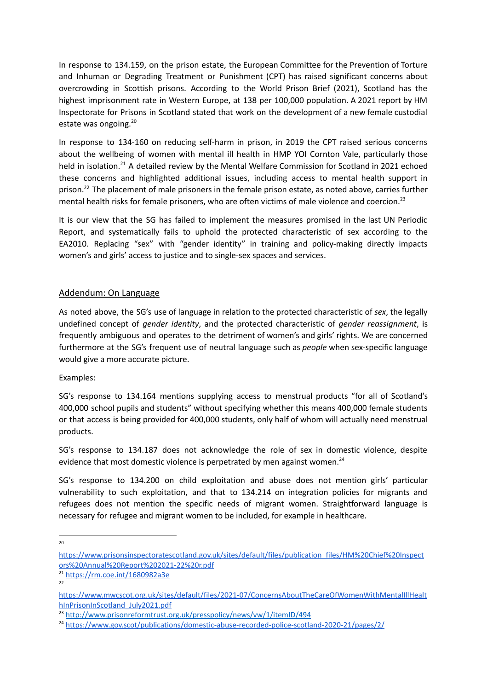In response to 134.159, on the prison estate, the European Committee for the Prevention of Torture and Inhuman or Degrading Treatment or Punishment (CPT) has raised significant concerns about overcrowding in Scottish prisons. According to the World Prison Brief (2021), Scotland has the highest imprisonment rate in Western Europe, at 138 per 100,000 population. A 2021 report by HM Inspectorate for Prisons in Scotland stated that work on the development of a new female custodial estate was ongoing. 20

In response to 134-160 on reducing self-harm in prison, in 2019 the CPT raised serious concerns about the wellbeing of women with mental ill health in HMP YOI Cornton Vale, particularly those held in isolation.<sup>21</sup> A detailed review by the Mental Welfare Commission for Scotland in 2021 echoed these concerns and highlighted additional issues, including access to mental health support in prison.<sup>22</sup> The placement of male prisoners in the female prison estate, as noted above, carries further mental health risks for female prisoners, who are often victims of male violence and coercion. 23

It is our view that the SG has failed to implement the measures promised in the last UN Periodic Report, and systematically fails to uphold the protected characteristic of sex according to the EA2010. Replacing "sex" with "gender identity" in training and policy-making directly impacts women's and girls' access to justice and to single-sex spaces and services.

#### Addendum: On Language

As noted above, the SG's use of language in relation to the protected characteristic of *sex*, the legally undefined concept of *gender identity*, and the protected characteristic of *gender reassignment*, is frequently ambiguous and operates to the detriment of women's and girls' rights. We are concerned furthermore at the SG's frequent use of neutral language such as *people* when sex-specific language would give a more accurate picture.

Examples:

SG's response to 134.164 mentions supplying access to menstrual products "for all of Scotland's 400,000 school pupils and students" without specifying whether this means 400,000 female students or that access is being provided for 400,000 students, only half of whom will actually need menstrual products.

SG's response to 134.187 does not acknowledge the role of sex in domestic violence, despite evidence that most domestic violence is perpetrated by men against women.<sup>24</sup>

SG's response to 134.200 on child exploitation and abuse does not mention girls' particular vulnerability to such exploitation, and that to 134.214 on integration policies for migrants and refugees does not mention the specific needs of migrant women. Straightforward language is necessary for refugee and migrant women to be included, for example in healthcare.

<sup>20</sup>

[https://www.prisonsinspectoratescotland.gov.uk/sites/default/files/publication\\_files/HM%20Chief%20Inspect](https://www.prisonsinspectoratescotland.gov.uk/sites/default/files/publication_files/HM%20Chief%20Inspectors%20Annual%20Report%202021-22%20r.pdf) [ors%20Annual%20Report%202021-22%20r.pdf](https://www.prisonsinspectoratescotland.gov.uk/sites/default/files/publication_files/HM%20Chief%20Inspectors%20Annual%20Report%202021-22%20r.pdf)

<sup>22</sup> <sup>21</sup> <https://rm.coe.int/1680982a3e>

[https://www.mwcscot.org.uk/sites/default/files/2021-07/ConcernsAboutTheCareOfWomenWithMentalIllHealt](https://www.mwcscot.org.uk/sites/default/files/2021-07/ConcernsAboutTheCareOfWomenWithMentalIllHealthInPrisonInScotland_July2021.pdf) [hInPrisonInScotland\\_July2021.pdf](https://www.mwcscot.org.uk/sites/default/files/2021-07/ConcernsAboutTheCareOfWomenWithMentalIllHealthInPrisonInScotland_July2021.pdf)

<sup>&</sup>lt;sup>23</sup> <http://www.prisonreformtrust.org.uk/presspolicy/news/vw/1/itemID/494>

<sup>24</sup> <https://www.gov.scot/publications/domestic-abuse-recorded-police-scotland-2020-21/pages/2/>